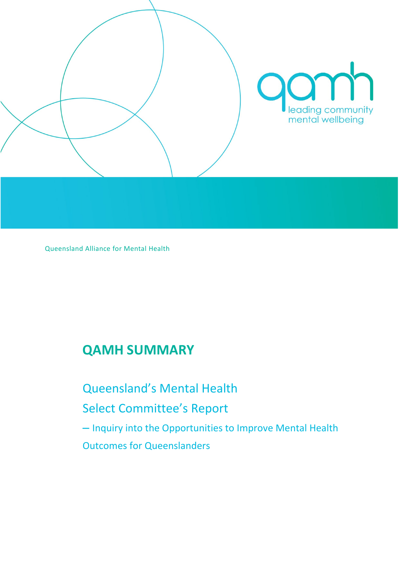

Queensland Alliance for Mental Health

# **QAMH SUMMARY**

Queensland's Mental Health Select Committee's Report – Inquiry into the Opportunities to Improve Mental Health Outcomes for Queenslanders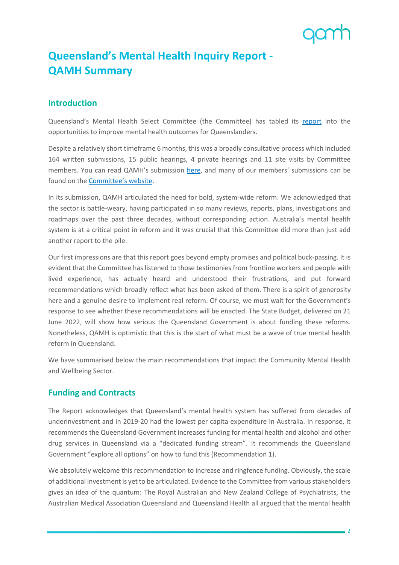## **Queensland's Mental Health Inquiry Report - QAMH Summary**

#### **Introduction**

Queensland's Mental Health Select Committee (the Committee) has tabled its [report](https://www.parliament.qld.gov.au/Work-of-Committees/Committees/Committee-Details?cid=226&id=4143) into the opportunities to improve mental health outcomes for Queenslanders.

Despite a relatively short timeframe 6 months, this was a broadly consultative process which included 164 written submissions, 15 public hearings, 4 private hearings and 11 site visits by Committee members. You can read QAMH's submission [here,](https://www.qamh.org.au/wp-content/uploads/QAMH-Submission-Mental-Health-Select-Committee.pdf) and many of our members' submissions can be found on th[e Committee's website.](https://www.parliament.qld.gov.au/Work-of-Committees/Committees/Committee-Details?cid=226&id=4143)

In its submission, QAMH articulated the need for bold, system-wide reform. We acknowledged that the sector is battle-weary, having participated in so many reviews, reports, plans, investigations and roadmaps over the past three decades, without corresponding action. Australia's mental health system is at a critical point in reform and it was crucial that this Committee did more than just add another report to the pile.

Our first impressions are that this report goes beyond empty promises and political buck-passing. It is evident that the Committee has listened to those testimonies from frontline workers and people with lived experience, has actually heard and understood their frustrations, and put forward recommendations which broadly reflect what has been asked of them. There is a spirit of generosity here and a genuine desire to implement real reform. Of course, we must wait for the Government's response to see whether these recommendations will be enacted. The State Budget, delivered on 21 June 2022, will show how serious the Queensland Government is about funding these reforms. Nonetheless, QAMH is optimistic that this is the start of what must be a wave of true mental health reform in Queensland.

We have summarised below the main recommendations that impact the Community Mental Health and Wellbeing Sector.

#### **Funding and Contracts**

The Report acknowledges that Queensland's mental health system has suffered from decades of underinvestment and in 2019-20 had the lowest per capita expenditure in Australia. In response, it recommends the Queensland Government increases funding for mental health and alcohol and other drug services in Queensland via a "dedicated funding stream". It recommends the Queensland Government "explore all options" on how to fund this (Recommendation 1).

We absolutely welcome this recommendation to increase and ringfence funding. Obviously, the scale of additional investment is yet to be articulated. Evidence to the Committee from various stakeholders gives an idea of the quantum: The Royal Australian and New Zealand College of Psychiatrists, the Australian Medical Association Queensland and Queensland Health all argued that the mental health

 $-2$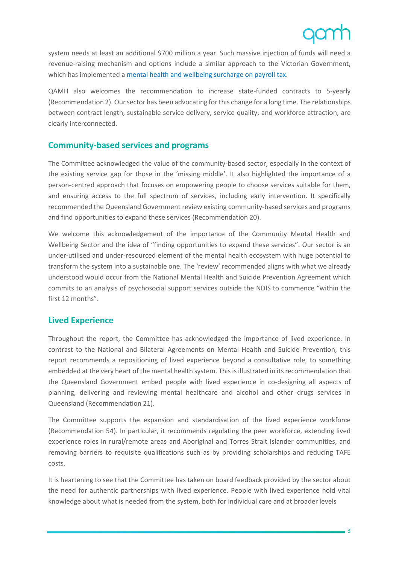system needs at least an additional \$700 million a year. Such massive injection of funds will need a revenue-raising mechanism and options include a similar approach to the Victorian Government, which has implemented a [mental health and wellbeing surcharge](https://www.sro.vic.gov.au/mentalhealthsurchargefaq#:%7E:text=The%20mental%20health%20and%20wellbeing%20surcharge%20%28surcharge%29%20is,by%20an%20employer%20or%20a%20group%20of%20employers.) on payroll tax.

QAMH also welcomes the recommendation to increase state-funded contracts to 5-yearly (Recommendation 2). Our sector has been advocating for this change for a long time. The relationships between contract length, sustainable service delivery, service quality, and workforce attraction, are clearly interconnected.

### **Community-based services and programs**

The Committee acknowledged the value of the community-based sector, especially in the context of the existing service gap for those in the 'missing middle'. It also highlighted the importance of a person-centred approach that focuses on empowering people to choose services suitable for them, and ensuring access to the full spectrum of services, including early intervention. It specifically recommended the Queensland Government review existing community-based services and programs and find opportunities to expand these services (Recommendation 20).

We welcome this acknowledgement of the importance of the Community Mental Health and Wellbeing Sector and the idea of "finding opportunities to expand these services". Our sector is an under-utilised and under-resourced element of the mental health ecosystem with huge potential to transform the system into a sustainable one. The 'review' recommended aligns with what we already understood would occur from the National Mental Health and Suicide Prevention Agreement which commits to an analysis of psychosocial support services outside the NDIS to commence "within the first 12 months".

#### **Lived Experience**

Throughout the report, the Committee has acknowledged the importance of lived experience. In contrast to the National and Bilateral Agreements on Mental Health and Suicide Prevention, this report recommends a repositioning of lived experience beyond a consultative role, to something embedded at the very heart of the mental health system. This is illustrated in its recommendation that the Queensland Government embed people with lived experience in co-designing all aspects of planning, delivering and reviewing mental healthcare and alcohol and other drugs services in Queensland (Recommendation 21).

The Committee supports the expansion and standardisation of the lived experience workforce (Recommendation 54). In particular, it recommends regulating the peer workforce, extending lived experience roles in rural/remote areas and Aboriginal and Torres Strait Islander communities, and removing barriers to requisite qualifications such as by providing scholarships and reducing TAFE costs.

It is heartening to see that the Committee has taken on board feedback provided by the sector about the need for authentic partnerships with lived experience. People with lived experience hold vital knowledge about what is needed from the system, both for individual care and at broader levels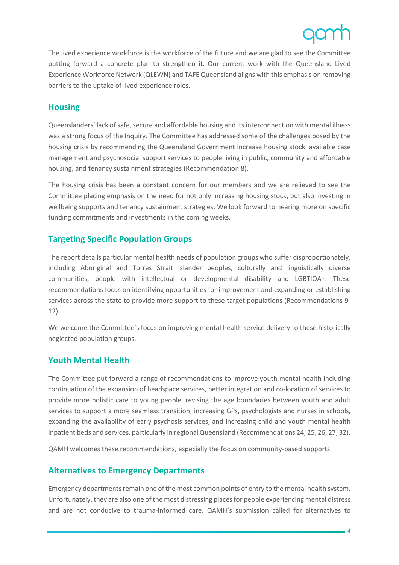The lived experience workforce is the workforce of the future and we are glad to see the Committee putting forward a concrete plan to strengthen it. Our current work with the Queensland Lived Experience Workforce Network (QLEWN) and TAFE Queensland aligns with this emphasis on removing barriers to the uptake of lived experience roles.

### **Housing**

Queenslanders' lack of safe, secure and affordable housing and its interconnection with mental illness was a strong focus of the Inquiry. The Committee has addressed some of the challenges posed by the housing crisis by recommending the Queensland Government increase housing stock, available case management and psychosocial support services to people living in public, community and affordable housing, and tenancy sustainment strategies (Recommendation 8).

The housing crisis has been a constant concern for our members and we are relieved to see the Committee placing emphasis on the need for not only increasing housing stock, but also investing in wellbeing supports and tenancy sustainment strategies. We look forward to hearing more on specific funding commitments and investments in the coming weeks.

### **Targeting Specific Population Groups**

The report details particular mental health needs of population groups who suffer disproportionately, including Aboriginal and Torres Strait Islander peoples, culturally and linguistically diverse communities, people with intellectual or developmental disability and LGBTIQA+. These recommendations focus on identifying opportunities for improvement and expanding or establishing services across the state to provide more support to these target populations (Recommendations 9- 12).

We welcome the Committee's focus on improving mental health service delivery to these historically neglected population groups.

#### **Youth Mental Health**

The Committee put forward a range of recommendations to improve youth mental health including continuation of the expansion of headspace services, better integration and co-location of services to provide more holistic care to young people, revising the age boundaries between youth and adult services to support a more seamless transition, increasing GPs, psychologists and nurses in schools, expanding the availability of early psychosis services, and increasing child and youth mental health inpatient beds and services, particularly in regional Queensland (Recommendations 24, 25, 26, 27, 32).

QAMH welcomes these recommendations, especially the focus on community-based supports.

#### **Alternatives to Emergency Departments**

Emergency departments remain one of the most common points of entry to the mental health system. Unfortunately, they are also one of the most distressing places for people experiencing mental distress and are not conducive to trauma-informed care. QAMH's submission called for alternatives to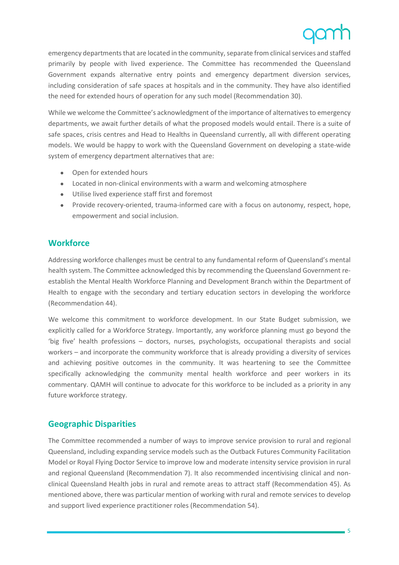emergency departments that are located in the community, separate from clinical services and staffed primarily by people with lived experience. The Committee has recommended the Queensland Government expands alternative entry points and emergency department diversion services, including consideration of safe spaces at hospitals and in the community. They have also identified the need for extended hours of operation for any such model (Recommendation 30).

While we welcome the Committee's acknowledgment of the importance of alternatives to emergency departments, we await further details of what the proposed models would entail. There is a suite of safe spaces, crisis centres and Head to Healths in Queensland currently, all with different operating models. We would be happy to work with the Queensland Government on developing a state-wide system of emergency department alternatives that are:

- Open for extended hours
- Located in non-clinical environments with a warm and welcoming atmosphere
- Utilise lived experience staff first and foremost
- Provide recovery-oriented, trauma-informed care with a focus on autonomy, respect, hope, empowerment and social inclusion.

#### **Workforce**

Addressing workforce challenges must be central to any fundamental reform of Queensland's mental health system. The Committee acknowledged this by recommending the Queensland Government reestablish the Mental Health Workforce Planning and Development Branch within the Department of Health to engage with the secondary and tertiary education sectors in developing the workforce (Recommendation 44).

We welcome this commitment to workforce development. In our State Budget submission, we explicitly called for a Workforce Strategy. Importantly, any workforce planning must go beyond the 'big five' health professions – doctors, nurses, psychologists, occupational therapists and social workers – and incorporate the community workforce that is already providing a diversity of services and achieving positive outcomes in the community. It was heartening to see the Committee specifically acknowledging the community mental health workforce and peer workers in its commentary. QAMH will continue to advocate for this workforce to be included as a priority in any future workforce strategy.

### **Geographic Disparities**

The Committee recommended a number of ways to improve service provision to rural and regional Queensland, including expanding service models such as the Outback Futures Community Facilitation Model or Royal Flying Doctor Service to improve low and moderate intensity service provision in rural and regional Queensland (Recommendation 7). It also recommended incentivising clinical and nonclinical Queensland Health jobs in rural and remote areas to attract staff (Recommendation 45). As mentioned above, there was particular mention of working with rural and remote services to develop and support lived experience practitioner roles (Recommendation 54).